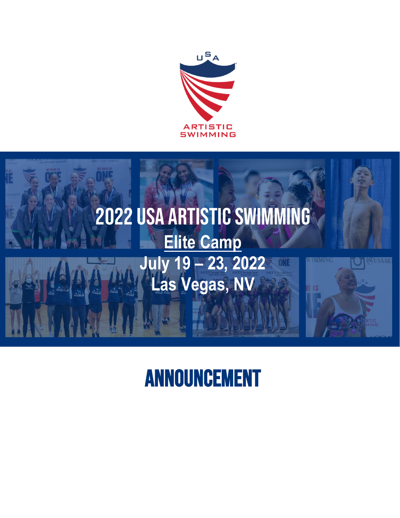



# Announcement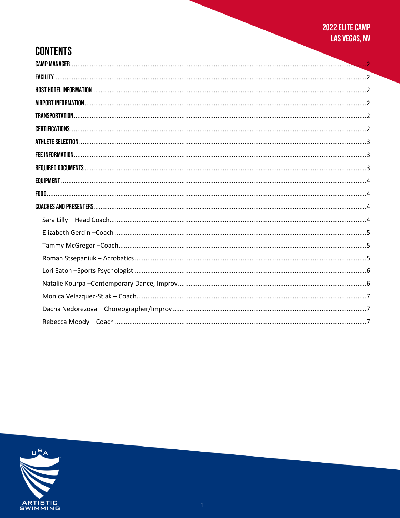## **CONTENTS**

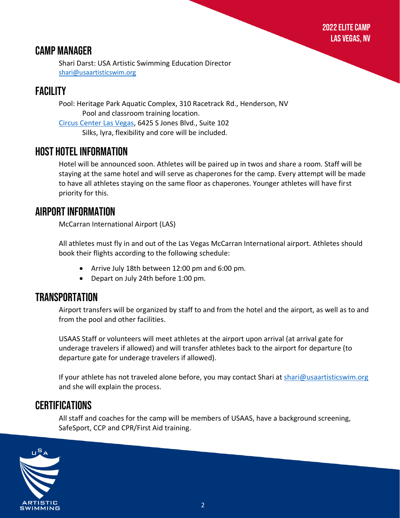## <span id="page-2-0"></span>Camp Manager

Shari Darst: USA Artistic Swimming Education Director [shari@usaartisticswim.org](mailto:shari@usaartisticswim.org)

## <span id="page-2-1"></span>**FACILITY**

Pool: Heritage Park Aquatic Complex, 310 Racetrack Rd., Henderson, NV Pool and classroom training location. [Circus Center Las Vegas,](https://www.lasvegascircuscenter.com/) 6425 S Jones Blvd., Suite 102 Silks, lyra, flexibility and core will be included.

### <span id="page-2-2"></span>Host Hotel Information

Hotel will be announced soon. Athletes will be paired up in twos and share a room. Staff will be staying at the same hotel and will serve as chaperones for the camp. Every attempt will be made to have all athletes staying on the same floor as chaperones. Younger athletes will have first priority for this.

## <span id="page-2-3"></span>Airport Information

McCarran International Airport (LAS)

All athletes must fly in and out of the Las Vegas McCarran International airport. Athletes should book their flights according to the following schedule:

- Arrive July 18th between 12:00 pm and 6:00 pm.
- Depart on July 24th before 1:00 pm.

### <span id="page-2-4"></span>Transportation

Airport transfers will be organized by staff to and from the hotel and the airport, as well as to and from the pool and other facilities.

USAAS Staff or volunteers will meet athletes at the airport upon arrival (at arrival gate for underage travelers if allowed) and will transfer athletes back to the airport for departure (to departure gate for underage travelers if allowed).

If your athlete has not traveled alone before, you may contact Shari at [shari@usaartisticswim.org](mailto:shari@usaartisticswim.org) and she will explain the process.

### <span id="page-2-5"></span>**CERTIFICATIONS**

All staff and coaches for the camp will be members of USAAS, have a background screening, SafeSport, CCP and CPR/First Aid training.

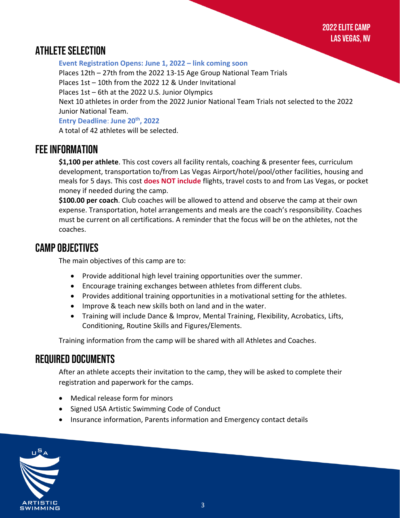2022 Elite Camp Las Vegas, NV

## <span id="page-3-0"></span>Athlete Selection

**Event Registration Opens: June 1, 2022 – link coming soon** Places 12th – 27th from the 2022 13-15 Age Group National Team Trials Places 1st – 10th from the 2022 12 & Under Invitational Places 1st – 6th at the 2022 U.S. Junior Olympics Next 10 athletes in order from the 2022 Junior National Team Trials not selected to the 2022 Junior National Team. **Entry Deadline**: **June 20th, 2022** A total of 42 athletes will be selected.

### <span id="page-3-1"></span>FEE INFORMATION

**\$1,100 per athlete**. This cost covers all facility rentals, coaching & presenter fees, curriculum development, transportation to/from Las Vegas Airport/hotel/pool/other facilities, housing and meals for 5 days. This cost **does NOT include** flights, travel costs to and from Las Vegas, or pocket money if needed during the camp.

**\$100.00 per coach**. Club coaches will be allowed to attend and observe the camp at their own expense. Transportation, hotel arrangements and meals are the coach's responsibility. Coaches must be current on all certifications. A reminder that the focus will be on the athletes, not the coaches.

### Camp Objectives

The main objectives of this camp are to:

- Provide additional high level training opportunities over the summer.
- Encourage training exchanges between athletes from different clubs.
- Provides additional training opportunities in a motivational setting for the athletes.
- Improve & teach new skills both on land and in the water.
- <span id="page-3-2"></span>• Training will include Dance & Improv, Mental Training, Flexibility, Acrobatics, Lifts, Conditioning, Routine Skills and Figures/Elements.

Training information from the camp will be shared with all Athletes and Coaches.

## Required Documents

After an athlete accepts their invitation to the camp, they will be asked to complete their registration and paperwork for the camps.

- Medical release form for minors
- Signed USA Artistic Swimming Code of Conduct
- Insurance information, Parents information and Emergency contact details

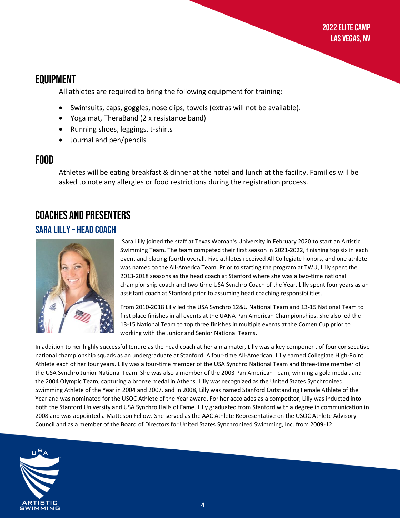## <span id="page-4-0"></span>Equipment

All athletes are required to bring the following equipment for training:

- Swimsuits, caps, goggles, nose clips, towels (extras will not be available).
- Yoga mat, TheraBand (2 x resistance band)
- Running shoes, leggings, t-shirts
- Journal and pen/pencils

#### <span id="page-4-1"></span>Food

Athletes will be eating breakfast & dinner at the hotel and lunch at the facility. Families will be asked to note any allergies or food restrictions during the registration process.

## <span id="page-4-2"></span>Coaches and Presenters Sara Lilly – Head Coach

<span id="page-4-3"></span>

Sara Lilly joined the staff at Texas Woman's University in February 2020 to start an Artistic Swimming Team. The team competed their first season in 2021-2022, finishing top six in each event and placing fourth overall. Five athletes received All Collegiate honors, and one athlete was named to the All-America Team. Prior to starting the program at TWU, Lilly spent the 2013-2018 seasons as the head coach at Stanford where she was a two-time national championship coach and two-time USA Synchro Coach of the Year. Lilly spent four years as an assistant coach at Stanford prior to assuming head coaching responsibilities.

From 2010-2018 Lilly led the USA Synchro 12&U National Team and 13-15 National Team to first place finishes in all events at the UANA Pan American Championships. She also led the 13-15 National Team to top three finishes in multiple events at the Comen Cup prior to working with the Junior and Senior National Teams.

In addition to her highly successful tenure as the head coach at her alma mater, Lilly was a key component of four consecutive national championship squads as an undergraduate at Stanford. A four-time All-American, Lilly earned Collegiate High-Point Athlete each of her four years. Lilly was a four-time member of the USA Synchro National Team and three-time member of the USA Synchro Junior National Team. She was also a member of the 2003 Pan American Team, winning a gold medal, and the 2004 Olympic Team, capturing a bronze medal in Athens. Lilly was recognized as the United States Synchronized Swimming Athlete of the Year in 2004 and 2007, and in 2008, Lilly was named Stanford Outstanding Female Athlete of the Year and was nominated for the USOC Athlete of the Year award. For her accolades as a competitor, Lilly was inducted into both the Stanford University and USA Synchro Halls of Fame. Lilly graduated from Stanford with a degree in communication in 2008 and was appointed a Matteson Fellow. She served as the AAC Athlete Representative on the USOC Athlete Advisory Council and as a member of the Board of Directors for United States Synchronized Swimming, Inc. from 2009-12.

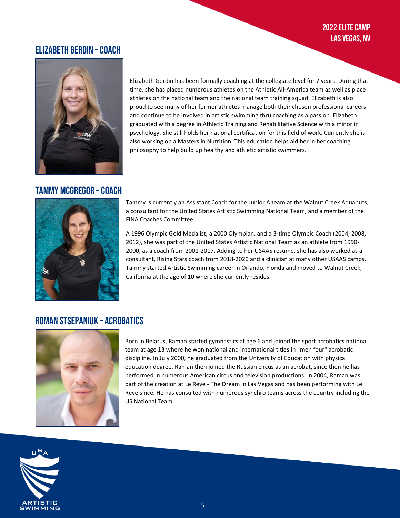#### <span id="page-5-0"></span>Elizabeth Gerdin –Coach



Elizabeth Gerdin has been formally coaching at the collegiate level for 7 years. During that time, she has placed numerous athletes on the Athletic All-America team as well as place athletes on the national team and the national team training squad. Elizabeth is also proud to see many of her former athletes manage both their chosen professional careers and continue to be involved in artistic swimming thru coaching as a passion. Elizabeth graduated with a degree in Athletic Training and Rehabilitative Science with a minor in psychology. She still holds her national certification for this field of work. Currently she is also working on a Masters in Nutrition. This education helps aid her in her coaching philosophy to help build up healthy and athletic artistic swimmers.

#### Tammy McGregor –Coach



<span id="page-5-1"></span>Tammy is currently an Assistant Coach for the Junior A team at the Walnut Creek Aquanuts, a consultant for the United States Artistic Swimming National Team, and a member of the FINA Coaches Committee.

A 1996 Olympic Gold Medalist, a 2000 Olympian, and a 3-time Olympic Coach (2004, 2008, 2012), she was part of the United States Artistic National Team as an athlete from 1990- 2000, as a coach from 2001-2017. Adding to her USAAS resume, she has also worked as a consultant, Rising Stars coach from 2018-2020 and a clinician at many other USAAS camps. Tammy started Artistic Swimming career in Orlando, Florida and moved to Walnut Creek, California at the age of 10 where she currently resides.

#### Roman Stsepaniuk – Acrobatics



Born in Belarus, Raman started gymnastics at age 6 and joined the sport acrobatics national team at age 13 where he won national and international titles in "men four" acrobatic discipline. In July 2000, he graduated from the University of Education with physical education degree. Raman then joined the Russian circus as an acrobat, since then he has performed in numerous American circus and television productions. In 2004, Raman was part of the creation at Le Reve - The Dream in Las Vegas and has been performing with Le Reve since. He has consulted with numerous synchro teams across the country including the US National Team.

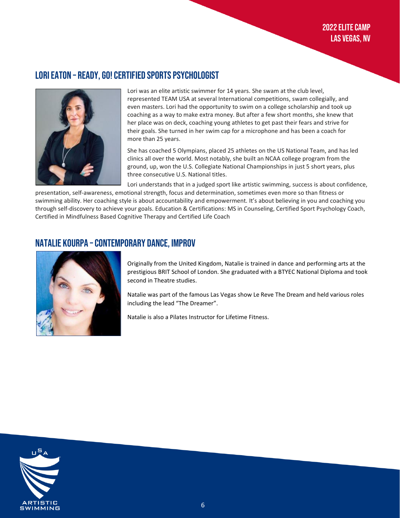#### Lori Eaton – READY, GO! Certified Sports Psychologist



Lori was an elite artistic swimmer for 14 years. She swam at the club level, represented TEAM USA at several International competitions, swam collegially, and even masters. Lori had the opportunity to swim on a college scholarship and took up coaching as a way to make extra money. But after a few short months, she knew that her place was on deck, coaching young athletes to get past their fears and strive for their goals. She turned in her swim cap for a microphone and has been a coach for more than 25 years.

She has coached 5 Olympians, placed 25 athletes on the US National Team, and has led clinics all over the world. Most notably, she built an NCAA college program from the ground, up, won the U.S. Collegiate National Championships in just 5 short years, plus three consecutive U.S. National titles.

Lori understands that in a judged sport like artistic swimming, success is about confidence,

presentation, self-awareness, emotional strength, focus and determination, sometimes even more so than fitness or swimming ability. Her coaching style is about accountability and empowerment. It's about believing in you and coaching you through self-discovery to achieve your goals. Education & Certifications: MS in Counseling, Certified Sport Psychology Coach, Certified in Mindfulness Based Cognitive Therapy and Certified Life Coach

#### <span id="page-6-0"></span>NATALIE KOURPA – CONTEMPORARY DANCE, IMPROV



Originally from the United Kingdom, Natalie is trained in dance and performing arts at the prestigious BRIT School of London. She graduated with a BTYEC National Diploma and took second in Theatre studies.

Natalie was part of the famous Las Vegas show Le Reve The Dream and held various roles including the lead "The Dreamer".

Natalie is also a Pilates Instructor for Lifetime Fitness.

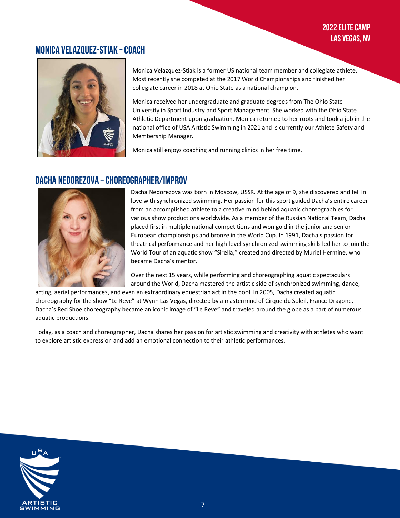#### <span id="page-7-0"></span>Monica Velazquez-Stiak –Coach



Monica Velazquez-Stiak is a former US national team member and collegiate athlete. Most recently she competed at the 2017 World Championships and finished her collegiate career in 2018 at Ohio State as a national champion.

Monica received her undergraduate and graduate degrees from The Ohio State University in Sport Industry and Sport Management. She worked with the Ohio State Athletic Department upon graduation. Monica returned to her roots and took a job in the national office of USA Artistic Swimming in 2021 and is currently our Athlete Safety and Membership Manager.

Monica still enjoys coaching and running clinics in her free time.

#### <span id="page-7-1"></span>Dacha Nedorezova –Choreographer/Improv



Dacha Nedorezova was born in Moscow, USSR. At the age of 9, she discovered and fell in love with synchronized swimming. Her passion for this sport guided Dacha's entire career from an accomplished athlete to a creative mind behind aquatic choreographies for various show productions worldwide. As a member of the Russian National Team, Dacha placed first in multiple national competitions and won gold in the junior and senior European championships and bronze in the World Cup. In 1991, Dacha's passion for theatrical performance and her high-level synchronized swimming skills led her to join the World Tour of an aquatic show "Sirella," created and directed by Muriel Hermine, who became Dacha's mentor.

Over the next 15 years, while performing and choreographing aquatic spectaculars around the World, Dacha mastered the artistic side of synchronized swimming, dance,

acting, aerial performances, and even an extraordinary equestrian act in the pool. In 2005, Dacha created aquatic choreography for the show "Le Reve" at Wynn Las Vegas, directed by a mastermind of Cirque du Soleil, Franco Dragone. Dacha's Red Shoe choreography became an iconic image of "Le Reve" and traveled around the globe as a part of numerous aquatic productions.

Today, as a coach and choreographer, Dacha shares her passion for artistic swimming and creativity with athletes who want to explore artistic expression and add an emotional connection to their athletic performances.